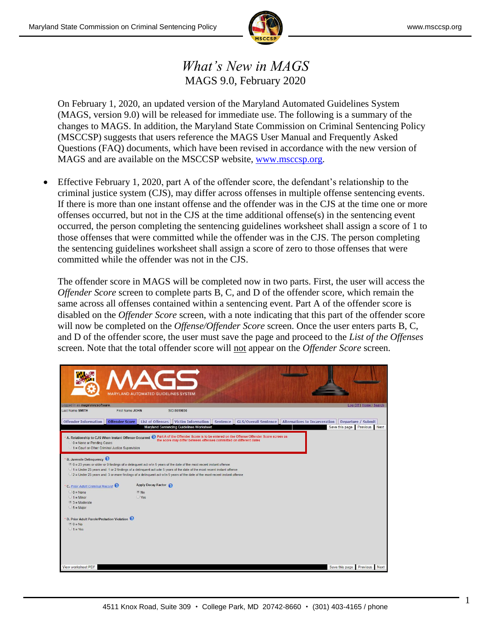

## *What's New in MAGS* MAGS 9.0, February 2020

On February 1, 2020, an updated version of the Maryland Automated Guidelines System (MAGS, version 9.0) will be released for immediate use. The following is a summary of the changes to MAGS. In addition, the Maryland State Commission on Criminal Sentencing Policy (MSCCSP) suggests that users reference the MAGS User Manual and Frequently Asked Questions (FAQ) documents, which have been revised in accordance with the new version of MAGS and are available on the MSCCSP website, [www.msccsp.org.](http://www.msccsp.org/)

 Effective February 1, 2020, part A of the offender score, the defendant's relationship to the criminal justice system (CJS), may differ across offenses in multiple offense sentencing events. If there is more than one instant offense and the offender was in the CJS at the time one or more offenses occurred, but not in the CJS at the time additional offense(s) in the sentencing event occurred, the person completing the sentencing guidelines worksheet shall assign a score of 1 to those offenses that were committed while the offender was in the CJS. The person completing the sentencing guidelines worksheet shall assign a score of zero to those offenses that were committed while the offender was not in the CJS.

The offender score in MAGS will be completed now in two parts. First, the user will access the *Offender Score* screen to complete parts B, C, and D of the offender score, which remain the same across all offenses contained within a sentencing event. Part A of the offender score is disabled on the *Offender Score* screen, with a note indicating that this part of the offender score will now be completed on the *Offense/Offender Score* screen. Once the user enters parts B, C, and D of the offender score, the user must save the page and proceed to the *List of the Offenses* screen. Note that the total offender score will not appear on the *Offender Score* screen.

| Logged in as mags\mncsoftware.<br>ı                                                                                                                                                                                            |                  |                                   | <b>MARYLAND AUTOMATED GUIDELINES SYSTEM</b>                                                                                                                                                                                                                                                                                                                                       |          |                             |                                                    | Log Off   Home   Search      |
|--------------------------------------------------------------------------------------------------------------------------------------------------------------------------------------------------------------------------------|------------------|-----------------------------------|-----------------------------------------------------------------------------------------------------------------------------------------------------------------------------------------------------------------------------------------------------------------------------------------------------------------------------------------------------------------------------------|----------|-----------------------------|----------------------------------------------------|------------------------------|
| Last Name: SMITH                                                                                                                                                                                                               | First Name: JOHN |                                   | SID:5619856                                                                                                                                                                                                                                                                                                                                                                       |          |                             |                                                    |                              |
| <b>Offender Information</b>                                                                                                                                                                                                    |                  | Offender Score   List of Offenses | <b>Victim Information</b><br><b>Maryland Sentencing Guidelines Worksheet</b>                                                                                                                                                                                                                                                                                                      | Sentence | <b>GLS/Overall Sentence</b> | Alternatives to Incarceration   Departure / Submit | Save this page Previous Next |
| * A. Relationship to CJS When Instant Offense Occurred @ Part A of the Offender Score is to be entered on the Offense/Offender Score screen as<br>0 = None or Pending Cases<br>1 = Court or Other Criminal Justice Supervision |                  |                                   | the score may differ between offenses committed on different dates                                                                                                                                                                                                                                                                                                                |          |                             |                                                    |                              |
| <b>B. Juvenile Delinquency</b>                                                                                                                                                                                                 |                  |                                   | . 0 = 23 years or older or 0 findings of a delinquent act w/in 5 years of the date of the most recent instant offense<br>01 = Under 23 years and: 1 or 2 findings of a delinquent act w/in 5 years of the date of the most recent instant offense<br>○ 2 = Under 23 years and: 3 or more findings of a delinguent act w/in 5 years of the date of the most recent instant offense |          |                             |                                                    |                              |
| <b>C.</b> Prior Adult Criminal Record $\mathbf{\mathcal{O}}$                                                                                                                                                                   |                  | Apply Decay Factor                |                                                                                                                                                                                                                                                                                                                                                                                   |          |                             |                                                    |                              |
| $0 = None$                                                                                                                                                                                                                     |                  | $\bullet$ No                      |                                                                                                                                                                                                                                                                                                                                                                                   |          |                             |                                                    |                              |
| $1 =$ Minor                                                                                                                                                                                                                    |                  | Ves                               |                                                                                                                                                                                                                                                                                                                                                                                   |          |                             |                                                    |                              |
| $93$ = Moderate                                                                                                                                                                                                                |                  |                                   |                                                                                                                                                                                                                                                                                                                                                                                   |          |                             |                                                    |                              |
| $6 =$ Major                                                                                                                                                                                                                    |                  |                                   |                                                                                                                                                                                                                                                                                                                                                                                   |          |                             |                                                    |                              |
| D. Prior Adult Parole/Probation Violation<br>$0 = No$<br>$1 = Yes$                                                                                                                                                             |                  |                                   |                                                                                                                                                                                                                                                                                                                                                                                   |          |                             |                                                    |                              |
|                                                                                                                                                                                                                                |                  |                                   |                                                                                                                                                                                                                                                                                                                                                                                   |          |                             |                                                    |                              |
| View worksheet PDF                                                                                                                                                                                                             |                  |                                   |                                                                                                                                                                                                                                                                                                                                                                                   |          |                             |                                                    | Save this page Previous Next |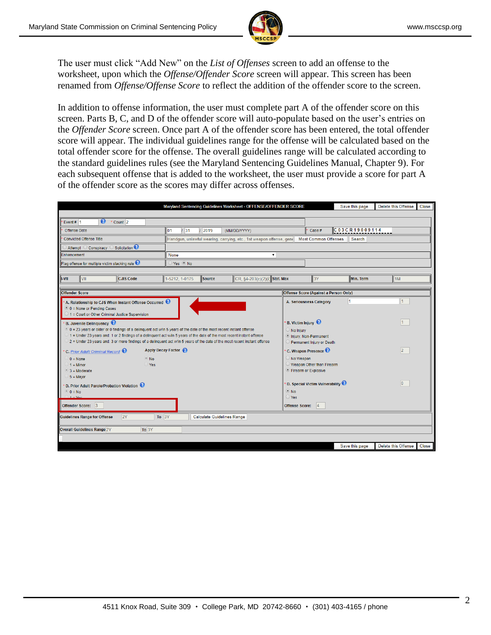

The user must click "Add New" on the *List of Offenses* screen to add an offense to the worksheet, upon which the *Offense/Offender Score* screen will appear. This screen has been renamed from *Offense/Offense Score* to reflect the addition of the offender score to the screen.

In addition to offense information, the user must complete part A of the offender score on this screen. Parts B, C, and D of the offender score will auto-populate based on the user's entries on the *Offender Score* screen. Once part A of the offender score has been entered, the total offender score will appear. The individual guidelines range for the offense will be calculated based on the total offender score for the offense. The overall guidelines range will be calculated according to the standard guidelines rules (see the Maryland Sentencing Guidelines Manual, Chapter 9). For each subsequent offense that is added to the worksheet, the user must provide a score for part A of the offender score as the scores may differ across offenses.

|                                                                                                                            | Maryland Sentencing Guidelines Worksheet - OFFENSE/OFFENDER SCORE |                                   |                                                                                          |  |                                                    |                                                                     | Save this page      |  | Delete this Offense | <b>Close</b> |
|----------------------------------------------------------------------------------------------------------------------------|-------------------------------------------------------------------|-----------------------------------|------------------------------------------------------------------------------------------|--|----------------------------------------------------|---------------------------------------------------------------------|---------------------|--|---------------------|--------------|
|                                                                                                                            |                                                                   |                                   |                                                                                          |  |                                                    |                                                                     |                     |  |                     |              |
| $\bullet$ $\cdot$ count 2<br>Event# $1$                                                                                    |                                                                   |                                   |                                                                                          |  |                                                    |                                                                     |                     |  |                     |              |
| Offense Date                                                                                                               | lo1<br>31                                                         | 2019                              | (MM/DD/YYYY)                                                                             |  |                                                    | Case #                                                              | $CC$ 03 CR 19009114 |  |                     |              |
| <b>Convicted Offense Title</b>                                                                                             |                                                                   |                                   | Handgun, unlawful wearing, carrying, etc., 1st weapon offense, gene Most Common Offenses |  |                                                    |                                                                     | Search              |  |                     |              |
| Solicitation <sup>2</sup><br>Attempt Conspiracy                                                                            |                                                                   |                                   |                                                                                          |  |                                                    |                                                                     |                     |  |                     |              |
| Enhancement                                                                                                                | None                                                              | $\pmb{\mathrm{v}}$                |                                                                                          |  |                                                    |                                                                     |                     |  |                     |              |
| Flag offense for multiple victim stacking rule                                                                             | $O$ Yes $O$ No                                                    |                                   |                                                                                          |  |                                                    |                                                                     |                     |  |                     |              |
|                                                                                                                            |                                                                   |                                   |                                                                                          |  |                                                    |                                                                     |                     |  |                     |              |
| <b>I-VII</b><br>VII<br><b>CJIS Code</b>                                                                                    | 1-5212, 1-0175                                                    | Source                            | CR, §4-203(c)(2)(i) Stat. Max                                                            |  |                                                    | 3Y                                                                  | Min. Term           |  | 1M                  |              |
| <b>Offender Score</b>                                                                                                      |                                                                   |                                   |                                                                                          |  |                                                    | Offense Score (Against a Person Only)                               |                     |  |                     |              |
|                                                                                                                            |                                                                   |                                   |                                                                                          |  |                                                    |                                                                     |                     |  |                     |              |
| A. Relationship to CJS When Instant Offense Occurred<br>$\bullet$ 0 = None or Pending Cases                                |                                                                   |                                   |                                                                                          |  |                                                    | A. Seriousness Category                                             |                     |  |                     |              |
| $\geq 1$ = Court or Other Criminal Justice Supervision                                                                     |                                                                   |                                   |                                                                                          |  |                                                    |                                                                     |                     |  |                     |              |
| <b>B. Juvenile Delinquency</b>                                                                                             |                                                                   |                                   |                                                                                          |  | <b>B.</b> Victim Injury                            |                                                                     |                     |  |                     |              |
| 0 0 = 23 years or older or 0 findings of a delinquent act w/in 5 years of the date of the most recent instant offense      |                                                                   |                                   |                                                                                          |  | $\bigcirc$ No Injury                               |                                                                     |                     |  |                     |              |
| 1 = Under 23 years and: 1 or 2 findings of a delinguent act w/in 5 years of the date of the most recent instant offense    |                                                                   |                                   |                                                                                          |  |                                                    | lnjury, Non-Permanent                                               |                     |  |                     |              |
| 2 = Under 23 years and: 3 or more findings of a delinquent act w/in 5 years of the date of the most recent instant offense |                                                                   |                                   |                                                                                          |  |                                                    | Permanent Injury or Death                                           |                     |  |                     |              |
| <b>C. Prior Adult Criminal Record O</b>                                                                                    | Apply Decay Factor                                                |                                   |                                                                                          |  | $\vert$ <sub>2</sub><br>$\cdot$ C. Weapon Presence |                                                                     |                     |  |                     |              |
| $0 = None$<br>$\bullet$ No                                                                                                 |                                                                   |                                   |                                                                                          |  | $\bigcirc$ No Weapon                               |                                                                     |                     |  |                     |              |
| Yes<br>$1 =$ Minor                                                                                                         |                                                                   |                                   |                                                                                          |  |                                                    | O Weapon Other than Firearm                                         |                     |  |                     |              |
| $\degree$ 3 = Moderate<br>$5 =$ Major                                                                                      |                                                                   |                                   |                                                                                          |  | <b>Eirearm or Explosive</b>                        |                                                                     |                     |  |                     |              |
|                                                                                                                            |                                                                   |                                   |                                                                                          |  |                                                    | <b>D. Special Victim Vulnerability <math>\mathbf{\Omega}</math></b> |                     |  | 10                  |              |
| D. Prior Adult Parole/Probation Violation<br>$0 = No$                                                                      |                                                                   |                                   |                                                                                          |  | $\odot$ No                                         |                                                                     |                     |  |                     |              |
| $1 - V_0$                                                                                                                  |                                                                   |                                   |                                                                                          |  | $\bigcirc$ Yes                                     |                                                                     |                     |  |                     |              |
| Offender Score: 3                                                                                                          |                                                                   |                                   |                                                                                          |  | Offense Score: 4                                   |                                                                     |                     |  |                     |              |
| To $3Y$<br><b>2Y</b><br><b>Guidelines Range for Offense</b>                                                                |                                                                   | <b>Calculate Guidelines Range</b> |                                                                                          |  |                                                    |                                                                     |                     |  |                     |              |
|                                                                                                                            |                                                                   |                                   |                                                                                          |  |                                                    |                                                                     |                     |  |                     |              |
| Overall Guidelines Range 2Y<br>To 3Y                                                                                       |                                                                   |                                   |                                                                                          |  |                                                    |                                                                     |                     |  |                     |              |
|                                                                                                                            |                                                                   |                                   |                                                                                          |  |                                                    |                                                                     |                     |  |                     |              |
|                                                                                                                            |                                                                   |                                   |                                                                                          |  |                                                    |                                                                     | Save this page      |  | Delete this Offense | <b>Close</b> |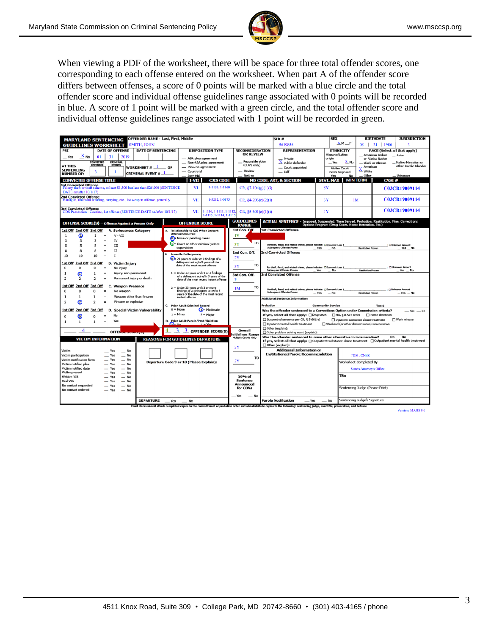

When viewing a PDF of the worksheet, there will be space for three total offender scores, one corresponding to each offense entered on the worksheet. When part A of the offender score differs between offenses, a score of 0 points will be marked with a blue circle and the total offender score and individual offense guidelines range associated with 0 points will be recorded in blue. A score of 1 point will be marked with a green circle, and the total offender score and individual offense guidelines range associated with 1 point will be recorded in green.

| OFFENDER NAME - Last, First, Middle<br><b>MARYLAND SENTENCING</b>                                                      |                                                         |                                                                                    | <b>SEX</b><br>SID#<br>$X$ <sub>M</sub> $_F$                            |                                                                                                                                                                                       |                          | <b>BIRTHDATE</b><br><b>JURISDICTION</b>                   |                                                                                                                              |  |
|------------------------------------------------------------------------------------------------------------------------|---------------------------------------------------------|------------------------------------------------------------------------------------|------------------------------------------------------------------------|---------------------------------------------------------------------------------------------------------------------------------------------------------------------------------------|--------------------------|-----------------------------------------------------------|------------------------------------------------------------------------------------------------------------------------------|--|
| <b>SMITH, JOHN</b><br><b>GUIDELINES WORKSHEET</b><br><b>PSI</b><br><b>DATE OF OFFENSE</b><br><b>DATE OF SENTENCING</b> | <b>DISPOSITION TYPE</b>                                 | <b>RECONSIDERATION</b>                                                             | 05   31   1986<br>5619856<br><b>REPRESENTATION</b><br><b>ETHNICITY</b> |                                                                                                                                                                                       |                          | $\overline{3}$<br><b>RACE (Select all that apply)</b>     |                                                                                                                              |  |
| $\mathbf{X}_{\mathsf{No}}$<br>01<br>31<br>2019                                                                         |                                                         |                                                                                    | <b>OR REVIEW</b>                                                       |                                                                                                                                                                                       | Hispanic/Latino          |                                                           | _ American Indian<br>- Asian                                                                                                 |  |
| $-$ Yes<br><b>CRIMINAL</b><br>CONVICTED                                                                                |                                                         | - ABA plea agreement<br>- Non-ABA plea agreement                                   | Reconsideration                                                        | Private<br>$\Lambda$ Public defender                                                                                                                                                  | origin<br>$-$ Yes        | $\underline{X}$ No                                        | or Alaska Native<br>_Native Hawaiian or<br><b>Black or African</b>                                                           |  |
| <b>OFFENSES</b><br><b>EVENTS</b><br><b>AT THIS</b><br>WORKSHEET # 1                                                    | OF                                                      | - Plea, no agreement                                                               | (COVs only)                                                            | - Court appointed                                                                                                                                                                     | Victim Court             | American                                                  | other Pacific Islander                                                                                                       |  |
| <b>SENTENCING</b><br>3<br><b>CRIMINAL EVENT #</b><br><b>NUMBER OF:</b>                                                 | - Court trial                                           |                                                                                    | - Review                                                               | $-$ Self                                                                                                                                                                              | Costs Imposed            | White                                                     |                                                                                                                              |  |
|                                                                                                                        | Jury trial                                              |                                                                                    | Neither                                                                | <b>MD CODE, ART, &amp; SECTION</b>                                                                                                                                                    | <b>Yes</b>               | Other<br>No<br><b>MIN TERM</b>                            | _Unknown                                                                                                                     |  |
| <b>CONVICTED OFFENSE TITLE</b><br><b>1st Convicted Offense</b>                                                         | I-VII                                                   | <b>CJIS CODE</b>                                                                   |                                                                        |                                                                                                                                                                                       | <b>STAT. MAX</b>         |                                                           | <b>CASE#</b>                                                                                                                 |  |
| Felony theft or theft scheme, at least \$1,500 but less than \$25,000 (SENTENCE<br>DATE on/after 10/1/17)              | VI                                                      | 1-1136, 1-1160                                                                     | $CR, 87-104(g)(1)(i)$                                                  |                                                                                                                                                                                       | 5Y                       |                                                           | <b>C03CR19009114</b>                                                                                                         |  |
| <b>2nd Convicted Offense</b><br>Handgun, unlawful wearing, carrying, etc., 1st weapon offense, generally               | VII                                                     | 1-5212, 1-0175                                                                     | CR, $§4-203(c)(2)(i)$                                                  |                                                                                                                                                                                       | 3Y                       | 1 <sub>M</sub>                                            | <b>C03CR19009114</b>                                                                                                         |  |
| <b>3rd Convicted Offense</b><br>CDS Possession - Cocaine, 1st offense (SENTENCE DATE on/after 10/1/17)                 | VII                                                     | 1-1110, 1-1111, 1-1112,<br>1-1113, 1-1114, 1-1115                                  | CR, §5-601(c)(1)(i)                                                    |                                                                                                                                                                                       | 1Y                       |                                                           | <b>C03CR19009114</b>                                                                                                         |  |
| OFFENSE SCORE(S) - Offense Against a Person Only                                                                       | <b>OFFENDER SCORE</b>                                   |                                                                                    | <b>GUIDELINES</b><br><b>RANGE</b>                                      | <b>ACTUAL SENTENCE - Imposed, Suspended, Time Served, Probation, Restitution, Fine, Corrections</b>                                                                                   |                          | <b>Options Program (Drug Court, Home Detention, Etc.)</b> |                                                                                                                              |  |
| 2nd Off 3rd Off<br>1st Off<br><b>A. Seriousness Category</b>                                                           | A. Relationship to CJS When Instant                     |                                                                                    | 1st Con. Off.                                                          | <b>1st Convicted Offense</b>                                                                                                                                                          |                          |                                                           |                                                                                                                              |  |
| ω<br>$V - VII$<br>$\mathbf{1}$                                                                                         | <b>Offense Occurred</b>                                 |                                                                                    | 1Y                                                                     |                                                                                                                                                                                       |                          |                                                           |                                                                                                                              |  |
| IV<br>3<br>$\overline{\mathbf{3}}$<br>$=$                                                                              | 0 - None or pending cases                               |                                                                                    | T <sub>O</sub>                                                         |                                                                                                                                                                                       |                          |                                                           |                                                                                                                              |  |
| Ш<br>5<br>$\equiv$<br>5                                                                                                | $\Omega$ Court or other criminal justice<br>supervision |                                                                                    | 3Y                                                                     | For theft, fraud, and related crimes, please indicate: OEconomic Loss \$<br>Subsequent Offender Proven                                                                                | Yes<br>No.               | <b>Restitution Proven</b>                                 | C Unknown Amount<br>Yes No                                                                                                   |  |
| $\mathbf{I}$<br>R<br>8<br>R<br>$\overline{\phantom{a}}$                                                                | <b>B.</b> Juvenile Delinquency                          |                                                                                    | 2nd Con. Off.                                                          | 2nd Convicted Offense                                                                                                                                                                 |                          |                                                           |                                                                                                                              |  |
| 10<br>10<br>10<br>$=$<br>т                                                                                             | (0)= 23 years or older or 0 findings of a               |                                                                                    | 2Y                                                                     |                                                                                                                                                                                       |                          |                                                           |                                                                                                                              |  |
| 1st Off<br>2nd Off<br>3rd Off<br><b>Victim Injury</b><br>R                                                             | date of the most recent offense                         | delinguent act w/in 5 years of the                                                 | TO<br>3Y                                                               |                                                                                                                                                                                       |                          |                                                           |                                                                                                                              |  |
| $\Omega$<br>No injury<br>$\Omega$<br>o                                                                                 |                                                         |                                                                                    |                                                                        | For theft, fraud, and related crimes, please indicate: ElEconomic Loss \$<br>Subsequent Offender Proven                                                                               | Yes<br>No                | <b>Restitution Proven</b>                                 | Unknown Amount<br>Yes No                                                                                                     |  |
| Injury, non-permanent<br>ω<br>1<br>1<br>Permanent injury or death<br>$\overline{2}$<br>2<br>2                          | $1 =$ Under 23 years and: $1$ or $2$ findings           | of a delinquent act w/in 5 years of the<br>date of the most recent instant offense | 3rd Con. Off.<br>P                                                     | <b>3rd Convicted Offense</b>                                                                                                                                                          |                          |                                                           |                                                                                                                              |  |
| 2nd Off<br>3rd Off<br>C.<br><b>Weapon Presence</b><br>1st Off                                                          | $2 =$ Under 23 years and: 3 or more                     |                                                                                    | TO<br>1 <sub>M</sub>                                                   |                                                                                                                                                                                       |                          |                                                           |                                                                                                                              |  |
| $\Omega$<br>$\Omega$<br>No weapon<br>$\Omega$<br>$=$                                                                   |                                                         | findings of a delinquent act w/in 5<br>years of the date of the most recent        |                                                                        | For theft, fraud, and related crimes, please indicate: Officensmic Loss \$<br>Subsequent Offender Proven                                                                              | $-$ Yes<br>$-$ No        | <b>Restitution Proven</b>                                 | Unknown Amount<br>$-$ Yes $-$ No                                                                                             |  |
| Weapon other than firearm<br>1<br>1<br>$\equiv$                                                                        | instant offense                                         |                                                                                    |                                                                        | <b>Additional Sentence Information</b>                                                                                                                                                |                          |                                                           |                                                                                                                              |  |
| 2<br>Firearm or explosive<br>$\overline{2}$<br>$\overline{2}$<br>$=$                                                   | C. Prior Adult Criminal Record                          |                                                                                    |                                                                        | <b>Probation</b>                                                                                                                                                                      | <b>Community Service</b> |                                                           | Fine \$                                                                                                                      |  |
| 2nd Off<br>3rd Off<br>1st Off<br><b>Special Victim Vulnerability</b><br>D.                                             | $0 = None$                                              | 3= Moderate                                                                        |                                                                        | Was the offender sentenced to a Corrections Option under Commission criteria?                                                                                                         |                          |                                                           | $Yes$ $\_\mathsf{No}$                                                                                                        |  |
| N <sub>o</sub><br>൫<br>$\Omega$<br>$\Omega$                                                                            | $1 =$ Minor                                             | $5 =$ Major                                                                        |                                                                        | If yes, select all that apply: nong court                                                                                                                                             |                          | □ HG, § 8-507 order                                       | □ Home detention                                                                                                             |  |
| Yes<br>$\mathbf{1}$<br>$\mathbf{1}$<br>$\mathbf{1}$<br>$\equiv$                                                        | <b>Prior Adult Parole/Prob Violation</b><br>D.          |                                                                                    |                                                                        | Suspended sentence per CR, § 5-601(e)                                                                                                                                                 |                          | □ Inpatient substance abuse treatment                     | □ Work release                                                                                                               |  |
|                                                                                                                        |                                                         |                                                                                    |                                                                        | □ Inpatient mental health treatment<br>□ Other (explain):                                                                                                                             |                          | □ Weekend (or other discontinuous) incarceration          |                                                                                                                              |  |
| 4<br>OFFER                                                                                                             | 4                                                       | <b>OFFENDER SCORE(S)</b>                                                           | Overall<br>uidelines Range                                             | □ Other problem solving court (explain):                                                                                                                                              |                          |                                                           |                                                                                                                              |  |
| <b>VICTIM INFORMATION</b>                                                                                              | <b>REASONS FOR GUIDELINES DEPARTURE</b>                 |                                                                                    | Multiple Counts Only                                                   | Was the offender sentenced to some other alternative to incarceration?<br>□ Other (explain):                                                                                          |                          |                                                           | $Nes$ $\_\$ No<br>If yes, select all that apply: □ Outpatient substance abuse treatment □ Outpatient mental health treatment |  |
| Victim<br>No<br>Yes                                                                                                    |                                                         |                                                                                    | 2Y                                                                     | <b>Additional Information or</b>                                                                                                                                                      |                          |                                                           |                                                                                                                              |  |
| Victim participation<br>Yes<br>No                                                                                      |                                                         |                                                                                    | <b>TO</b>                                                              | <b>Institutional/Parole Recommendation</b>                                                                                                                                            |                          | <b>TOM JONES</b>                                          |                                                                                                                              |  |
| Victim notification form<br>Yes<br><b>No</b>                                                                           | Departure Code 9 or 18 (Please Explain):                |                                                                                    | 3Y                                                                     |                                                                                                                                                                                       |                          | Worksheet Completed By                                    |                                                                                                                              |  |
| Victim notified plea<br>No<br>Yes<br>Victim notified date<br>No<br>Yes                                                 |                                                         |                                                                                    |                                                                        |                                                                                                                                                                                       |                          | <b>State's Attorney's Office</b>                          |                                                                                                                              |  |
| Victim present<br>No<br>Yes                                                                                            |                                                         |                                                                                    |                                                                        |                                                                                                                                                                                       |                          |                                                           |                                                                                                                              |  |
| <b>Written VIS</b><br>No<br>Yes                                                                                        |                                                         |                                                                                    | 50% of<br><b>Sentence</b>                                              |                                                                                                                                                                                       |                          | Title                                                     |                                                                                                                              |  |
| Oral VIS<br>No<br>Yes<br>No contact requested<br>No<br>$-$ Yes                                                         |                                                         |                                                                                    | Announced                                                              |                                                                                                                                                                                       |                          |                                                           |                                                                                                                              |  |
| No contact ordered<br>No<br>Yes                                                                                        |                                                         |                                                                                    | for COVs                                                               |                                                                                                                                                                                       |                          | Sentencing Judge (Please Print)                           |                                                                                                                              |  |
|                                                                                                                        |                                                         |                                                                                    | Yes<br>No                                                              |                                                                                                                                                                                       |                          |                                                           |                                                                                                                              |  |
| <b>DEPARTURE</b>                                                                                                       | $-$ Yes<br>$-$ No                                       |                                                                                    |                                                                        | <b>Parole Notification</b><br>$\equiv$ Yes                                                                                                                                            | $-$ No                   | Sentencing Judge's Signature                              |                                                                                                                              |  |
|                                                                                                                        |                                                         |                                                                                    |                                                                        | Court clerks should attach completed copies to the committment or probation order and also distribute copies to the following: sentencing judge, court file, prosecution, and defense |                          |                                                           |                                                                                                                              |  |

Version: MAGS 9.0